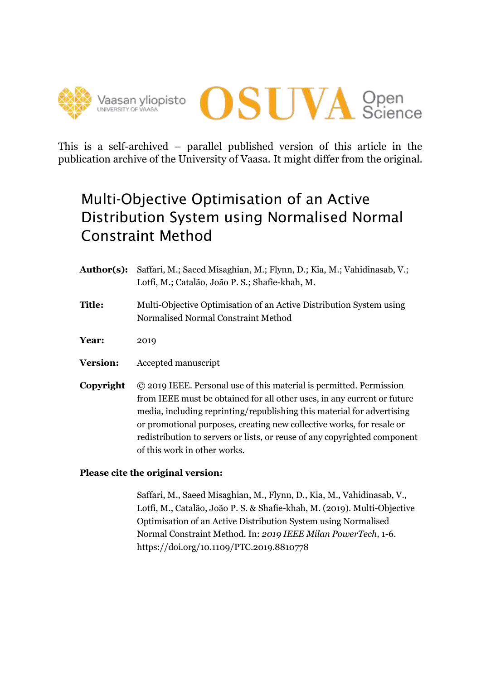



This is a self-archived – parallel published version of this article in the publication archive of the University of Vaasa. It might differ from the original.

# Multi-Objective Optimisation of an Active Distribution System using Normalised Normal Constraint Method

**Author(s):** Saffari, M.; Saeed Misaghian, M.; Flynn, D.; Kia, M.; Vahidinasab, V.; Lotfi, M.; Catalão, João P. S.; Shafie-khah, M. **Title:** Multi-Objective Optimisation of an Active Distribution System using Normalised Normal Constraint Method **Year:** 2019 **Version:** Accepted manuscript **Copyright** © 2019 IEEE. Personal use of this material is permitted. Permission from IEEE must be obtained for all other uses, in any current or future media, including reprinting/republishing this material for advertising or promotional purposes, creating new collective works, for resale or redistribution to servers or lists, or reuse of any copyrighted component of this work in other works.

# **Please cite the original version:**

Saffari, M., Saeed Misaghian, M., Flynn, D., Kia, M., Vahidinasab, V., Lotfi, M., Catalão, João P. S. & Shafie-khah, M. (2019). Multi-Objective Optimisation of an Active Distribution System using Normalised Normal Constraint Method. In: *2019 IEEE Milan PowerTech,* 1-6. https://doi.org/10.1109/PTC.2019.8810778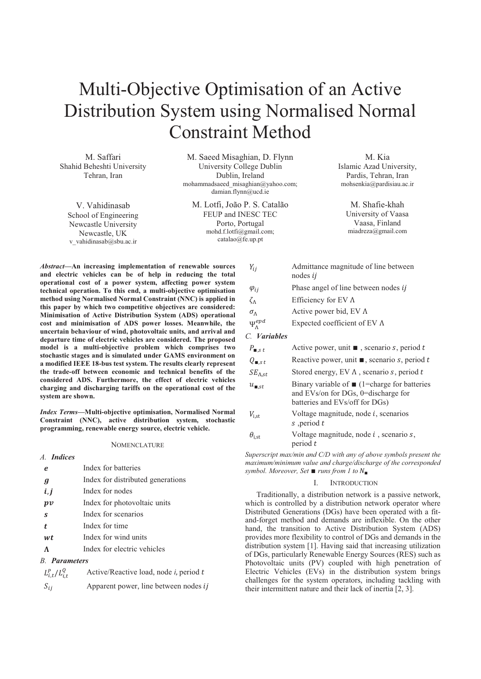# Multi-Objective Optimisation of an Active Distribution System using Normalised Normal Constraint Method

M. Saffari Shahid Beheshti University Tehran, Iran

V. Vahidinasab School of Engineering Newcastle University Newcastle, UK v vahidinasab@sbu.ac.ir

M. Saeed Misaghian, D. Flynn University College Dublin Dublin, Ireland mohammadsaeed\_misaghian@yahoo.com; damian.flynn@ucd.ie

M. Lotfi, João P. S. Catalão FEUP and INESC TEC Porto, Portugal mohd.f.lotfi@gmail.com; catalao@fe.up.pt

M. Kia Islamic Azad University, Pardis, Tehran, Iran mohsenkia@pardisiau.ac.ir

> M. Shafie-khah University of Vaasa Vaasa, Finland miadreza@gmail.com

*Abstract***—An increasing implementation of renewable sources and electric vehicles can be of help in reducing the total operational cost of a power system, affecting power system technical operation. To this end, a multi-objective optimisation method using Normalised Normal Constraint (NNC) is applied in this paper by which two competitive objectives are considered: Minimisation of Active Distribution System (ADS) operational cost and minimisation of ADS power losses. Meanwhile, the uncertain behaviour of wind, photovoltaic units, and arrival and departure time of electric vehicles are considered. The proposed model is a multi-objective problem which comprises two stochastic stages and is simulated under GAMS environment on a modified IEEE 18-bus test system. The results clearly represent the trade-off between economic and technical benefits of the considered ADS. Furthermore, the effect of electric vehicles charging and discharging tariffs on the operational cost of the system are shown.** 

*Index Terms***—Multi-objective optimisation, Normalised Normal Constraint (NNC), active distribution system, stochastic programming, renewable energy source, electric vehicle.** 

### **NOMENCLATURE**

| e                    | Index for batteries                                                     |
|----------------------|-------------------------------------------------------------------------|
| $\boldsymbol{g}$     | Index for distributed generations                                       |
| i, j                 | Index for nodes                                                         |
| p v                  | Index for photovoltaic units                                            |
| S                    | Index for scenarios                                                     |
| t.                   | Index for time                                                          |
| wt                   | Index for wind units                                                    |
| $\Lambda$            | Index for electric vehicles                                             |
| <b>B.</b> Parameters |                                                                         |
|                      | $L_i^P$ , $L_i^Q$ Active/Reactive load, node <i>i</i> , period <i>t</i> |

*A. Indices* 

| $L_{i,t}^P/L_{i,t}^Q$ | Active/Reactive load, node <i>i</i> , period <i>t</i> |
|-----------------------|-------------------------------------------------------|
| $S_{ij}$              | Apparent power, line between nodes <i>ij</i>          |

| Authmance magnitude of this between<br>nodes $ii$          |
|------------------------------------------------------------|
| Phase angel of line between nodes <i>i</i>                 |
| Efficiency for EV $\Lambda$                                |
| Active power bid, $EVA$                                    |
| Expected coefficient of EV $\Lambda$                       |
|                                                            |
| Active power, unit $\blacksquare$ , scenario s, period t   |
| Reactive power, unit $\blacksquare$ , scenario s, period t |
|                                                            |

ܻ Admittance magnitude of line between

| $SE_{\Lambda, st}$ | Stored energy, EV $\Lambda$ , scenario s, period t |
|--------------------|----------------------------------------------------|
|--------------------|----------------------------------------------------|

- $u_{\blacksquare, st}$  Binary variable of  $\blacksquare$  (1=charge for batteries and EVs/on for DGs, 0=discharge for batteries and EVs/off for DGs)
- $V_{\text{jet}}$  Voltage magnitude, node *i*, scenarios s, period  $t$
- $\theta_{i,st}$  Voltage magnitude, node *i*, scenario *s*, period  $t$

*Superscript max/min and C/D with any of above symbols present the maximum/minimum value and charge/discharge of the corresponded symbol. Moreover, Set* ■ *runs from 1 to*  $N$ ■

# I. INTRODUCTION

Traditionally, a distribution network is a passive network, which is controlled by a distribution network operator where Distributed Generations (DGs) have been operated with a fitand-forget method and demands are inflexible. On the other hand, the transition to Active Distribution System (ADS) provides more flexibility to control of DGs and demands in the distribution system [1]. Having said that increasing utilization of DGs, particularly Renewable Energy Sources (RES) such as Photovoltaic units (PV) coupled with high penetration of Electric Vehicles (EVs) in the distribution system brings challenges for the system operators, including tackling with their intermittent nature and their lack of inertia [2, 3].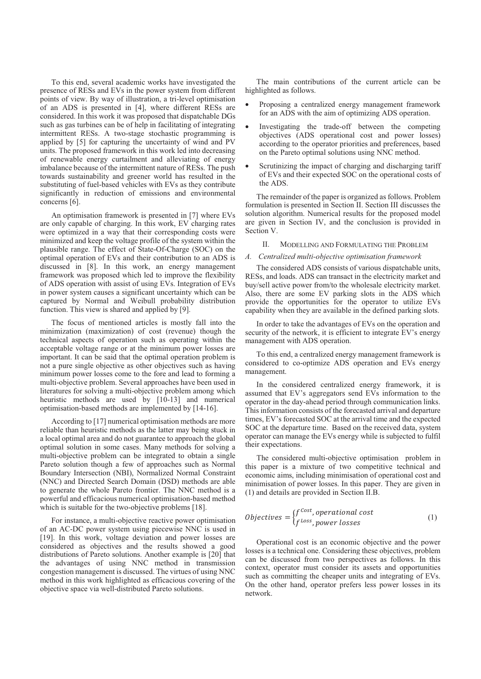To this end, several academic works have investigated the presence of RESs and EVs in the power system from different points of view. By way of illustration, a tri-level optimisation of an ADS is presented in [4], where different RESs are considered. In this work it was proposed that dispatchable DGs such as gas turbines can be of help in facilitating of integrating intermittent RESs. A two-stage stochastic programming is applied by [5] for capturing the uncertainty of wind and PV units. The proposed framework in this work led into decreasing of renewable energy curtailment and alleviating of energy imbalance because of the intermittent nature of RESs. The push towards sustainability and greener world has resulted in the substituting of fuel-based vehicles with EVs as they contribute significantly in reduction of emissions and environmental concerns [6].

An optimisation framework is presented in [7] where EVs are only capable of charging. In this work, EV charging rates were optimized in a way that their corresponding costs were minimized and keep the voltage profile of the system within the plausible range. The effect of State-Of-Charge (SOC) on the optimal operation of EVs and their contribution to an ADS is discussed in [8]. In this work, an energy management framework was proposed which led to improve the flexibility of ADS operation with assist of using EVs. Integration of EVs in power system causes a significant uncertainty which can be captured by Normal and Weibull probability distribution function. This view is shared and applied by [9].

The focus of mentioned articles is mostly fall into the minimization (maximization) of cost (revenue) though the technical aspects of operation such as operating within the acceptable voltage range or at the minimum power losses are important. It can be said that the optimal operation problem is not a pure single objective as other objectives such as having minimum power losses come to the fore and lead to forming a multi-objective problem. Several approaches have been used in literatures for solving a multi-objective problem among which heuristic methods are used by [10-13] and numerical optimisation-based methods are implemented by [14-16].

According to [17] numerical optimisation methods are more reliable than heuristic methods as the latter may being stuck in a local optimal area and do not guarantee to approach the global optimal solution in some cases. Many methods for solving a multi-objective problem can be integrated to obtain a single Pareto solution though a few of approaches such as Normal Boundary Intersection (NBI), Normalized Normal Constraint (NNC) and Directed Search Domain (DSD) methods are able to generate the whole Pareto frontier. The NNC method is a powerful and efficacious numerical optimisation-based method which is suitable for the two-objective problems [18].

For instance, a multi-objective reactive power optimisation of an AC-DC power system using piecewise NNC is used in [19]. In this work, voltage deviation and power losses are considered as objectives and the results showed a good distributions of Pareto solutions. Another example is [20] that the advantages of using NNC method in transmission congestion management is discussed. The virtues of using NNC method in this work highlighted as efficacious covering of the objective space via well-distributed Pareto solutions.

The main contributions of the current article can be highlighted as follows.

- Proposing a centralized energy management framework for an ADS with the aim of optimizing ADS operation.
- Investigating the trade-off between the competing objectives (ADS operational cost and power losses) according to the operator priorities and preferences, based on the Pareto optimal solutions using NNC method.
- Scrutinizing the impact of charging and discharging tariff of EVs and their expected SOC on the operational costs of the ADS.

The remainder of the paper is organized as follows. Problem formulation is presented in Section II. Section III discusses the solution algorithm. Numerical results for the proposed model are given in Section IV, and the conclusion is provided in Section V.

II. MODELLING AND FORMULATING THE PROBLEM

# *A. Centralized multi-objective optimisation framework*

The considered ADS consists of various dispatchable units, RESs, and loads. ADS can transact in the electricity market and buy/sell active power from/to the wholesale electricity market. Also, there are some EV parking slots in the ADS which provide the opportunities for the operator to utilize EVs capability when they are available in the defined parking slots.

In order to take the advantages of EVs on the operation and security of the network, it is efficient to integrate EV's energy management with ADS operation.

To this end, a centralized energy management framework is considered to co-optimize ADS operation and EVs energy management.

In the considered centralized energy framework, it is assumed that EV's aggregators send EVs information to the operator in the day-ahead period through communication links. This information consists of the forecasted arrival and departure times, EV's forecasted SOC at the arrival time and the expected SOC at the departure time. Based on the received data, system operator can manage the EVs energy while is subjected to fulfil their expectations.

The considered multi-objective optimisation problem in this paper is a mixture of two competitive technical and economic aims, including minimisation of operational cost and minimisation of power losses. In this paper. They are given in (1) and details are provided in Section II.B.

$$
Objectives = \n\begin{cases} \nf^{Cost}, operational \ cost \\ \nf^{Loss}, power \ loss \n\end{cases} \n\tag{1}
$$

Operational cost is an economic objective and the power losses is a technical one. Considering these objectives, problem can be discussed from two perspectives as follows. In this context, operator must consider its assets and opportunities such as committing the cheaper units and integrating of EVs. On the other hand, operator prefers less power losses in its network.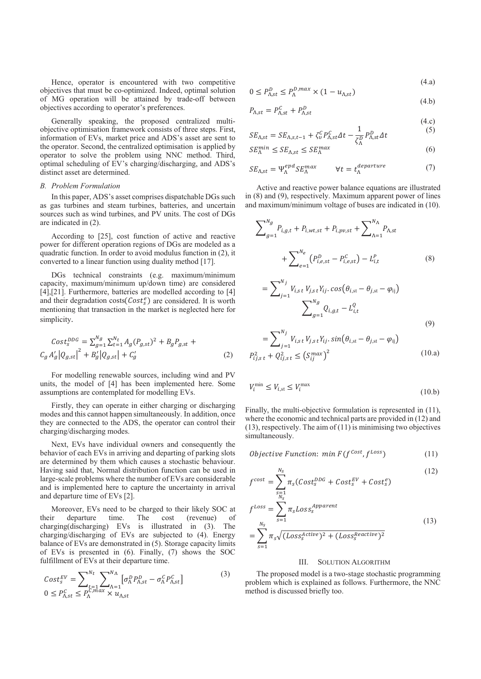Hence, operator is encountered with two competitive objectives that must be co-optimized. Indeed, optimal solution of MG operation will be attained by trade-off between objectives according to operator's preferences.

Generally speaking, the proposed centralized multiobjective optimisation framework consists of three steps. First, information of EVs, market price and ADS's asset are sent to the operator. Second, the centralized optimisation is applied by operator to solve the problem using NNC method. Third, optimal scheduling of EV's charging/discharging, and ADS's distinct asset are determined.

# *B. Problem Formulation*

In this paper, ADS's asset comprises dispatchable DGs such as gas turbines and steam turbines, batteries, and uncertain sources such as wind turbines, and PV units. The cost of DGs are indicated in (2).

According to [25], cost function of active and reactive power for different operation regions of DGs are modeled as a quadratic function. In order to avoid modulus function in (2), it converted to a linear function using duality method [17].

DGs technical constraints (e.g. maximum/minimum capacity, maximum/minimum up/down time) are considered [4], [21]. Furthermore, batteries are modelled according to [4] and their degradation costs $(Cost_s^e)$  are considered. It is worth mentioning that transaction in the market is neglected here for simplicity.

$$
Cost_{s}^{DDG} = \sum_{g=1}^{N_g} \sum_{t=1}^{N_t} A_g (P_{g,st})^2 + B_g P_{g,st} + C_g A'_g |Q_{g,st}|^2 + B'_g |Q_{g,st}| + C'_g
$$
\n(2)

For modelling renewable sources, including wind and PV units, the model of [4] has been implemented here. Some assumptions are contemplated for modelling EVs.

Firstly, they can operate in either charging or discharging modes and this cannot happen simultaneously. In addition, once they are connected to the ADS, the operator can control their charging/discharging modes.

Next, EVs have individual owners and consequently the behavior of each EVs in arriving and departing of parking slots are determined by them which causes a stochastic behaviour. Having said that, Normal distribution function can be used in large-scale problems where the number of EVs are considerable and is implemented here to capture the uncertainty in arrival and departure time of EVs [2].

Moreover, EVs need to be charged to their likely SOC at their departure time. The cost (revenue) of charging(discharging) EVs is illustrated in (3). The charging/discharging of EVs are subjected to (4). Energy balance of EVs are demonstrated in (5). Storage capacity limits of EVs is presented in (6). Finally, (7) shows the SOC fulfillment of EVs at their departure time.

$$
Cost_S^{EV} = \sum_{t=1}^{N_t} \sum_{\substack{\Lambda=1 \\ \Lambda \subset \Lambda}}^{N_{\Lambda}} \left[ \sigma_{\Lambda}^D P_{\Lambda, st}^D - \sigma_{\Lambda}^C P_{\Lambda, st}^C \right] \tag{3}
$$

$$
0 \le P_{\Lambda, st}^C \le P_{\Lambda}^{C, max} \times u_{\Lambda, st}
$$

$$
0 \le P_{\Lambda, st}^D \le P_{\Lambda}^{D, max} \times (1 - u_{\Lambda, st}) \tag{4.3}
$$

$$
P_{\Lambda, st} = P_{\Lambda, st}^c + P_{\Lambda, st}^D \tag{4.b}
$$

$$
A_{i,s,t} = A_{i,s,t} = A_{i,s,t} \tag{4.c}
$$

$$
SE_{\Lambda, st} = SE_{\Lambda, s, t-1} + \zeta_v^C P_{\Lambda, st}^C \Delta t - \frac{1}{\zeta_{\Lambda}^D} P_{\Lambda, st}^D \Delta t \tag{5}
$$

$$
SE_{\Lambda}^{min} \le SE_{\Lambda, st} \le SE_{\Lambda}^{max} \tag{6}
$$

$$
SE_{\Lambda, st} = \Psi_{\Lambda}^{epd} SE_{\Lambda}^{max} \qquad \forall t = t_{\Lambda}^{departure} \tag{7}
$$

Active and reactive power balance equations are illustrated in (8) and (9), respectively. Maximum apparent power of lines and maximum/minimum voltage of buses are indicated in (10).

$$
\sum_{g=1}^{N_g} P_{i,g,t} + P_{i,wt,st} + P_{i,pv,st} + \sum_{\Lambda=1}^{N_{\Lambda}} P_{\Lambda,st}
$$
  
+ 
$$
\sum_{e=1}^{N_e} (P_{i,e,st}^D - P_{i,e,st}^C) - L_{i,t}^P
$$
  
= 
$$
\sum_{j=1}^{N_j} V_{i,st} V_{j,st} Y_{ij} \cdot \cos(\theta_{i,st} - \theta_{j,st} - \varphi_{ij})
$$
  

$$
\sum_{g=1}^{N_g} Q_{i,g,t} - L_{i,t}^Q
$$
 (8)

(9)  

$$
_{t}V_{j,s\,t}Y_{ij}.sin(\theta_{i,\text{st}}-\theta_{j,\text{st}}-\varphi_{\text{ij}})
$$

$$
= \sum_{j=1} V_{i,s,t} V_{j,s,t} Y_{ij}. \sin(\theta_{i,\text{st}} - \theta_{j,\text{st}} - \varphi_{ij})
$$
  

$$
P_{ij,s,t}^2 + Q_{ij,s,t}^2 \le (S_{ij}^{max})^2
$$
 (10.a)

 $N_j$ 

$$
V_i^{\min} \le V_{i,\text{st}} \le V_i^{\max} \tag{10.b}
$$

Finally, the multi-objective formulation is represented in  $(11)$ , where the economic and technical parts are provided in (12) and  $(13)$ , respectively. The aim of  $(11)$  is minimising two objectives simultaneously.

$$
Objective Function: min F(f^{Cost}, f^{Loss})
$$
\n(11)

$$
f^{cost} = \sum_{\substack{s=1 \ N_S}}^{N_S} \pi_s (Cost_s^{DDG} + Cost_s^{EV} + Cost_s^e)
$$
 (12)

$$
f^{Loss} = \sum_{s=1}^{N_s} \pi_s Loss_s^{Apparent}
$$
  
= 
$$
\sum_{s=1}^{N_s} \pi_s \sqrt{(Loss_s^{Active})^2 + (Loss_s^{Reactive})^2}
$$
 (13)

# III. SOLUTION ALGORITHM

The proposed model is a two-stage stochastic programming problem which is explained as follows. Furthermore, the NNC method is discussed briefly too.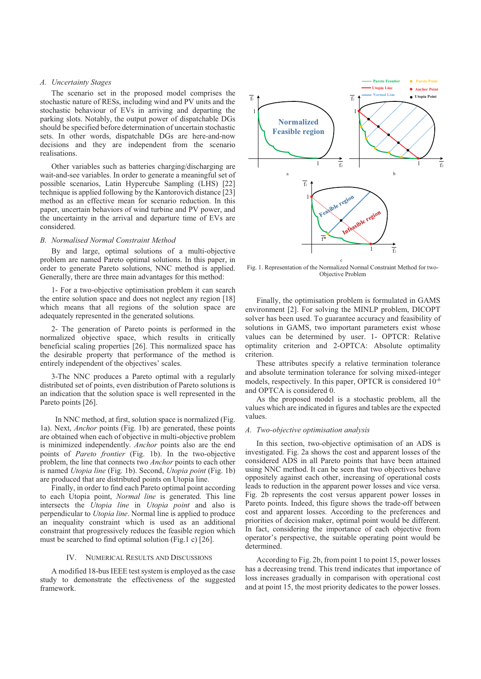# *A. Uncertainty Stages*

The scenario set in the proposed model comprises the stochastic nature of RESs, including wind and PV units and the stochastic behaviour of EVs in arriving and departing the parking slots. Notably, the output power of dispatchable DGs should be specified before determination of uncertain stochastic sets. In other words, dispatchable DGs are here-and-now decisions and they are independent from the scenario realisations.

Other variables such as batteries charging/discharging are wait-and-see variables. In order to generate a meaningful set of possible scenarios, Latin Hypercube Sampling (LHS) [22] technique is applied following by the Kantorovich distance [23] method as an effective mean for scenario reduction. In this paper, uncertain behaviors of wind turbine and PV power, and the uncertainty in the arrival and departure time of EVs are considered.

# *B. Normalised Normal Constraint Method*

By and large, optimal solutions of a multi-objective problem are named Pareto optimal solutions. In this paper, in order to generate Pareto solutions, NNC method is applied. Generally, there are three main advantages for this method:

1- For a two-objective optimisation problem it can search the entire solution space and does not neglect any region [18] which means that all regions of the solution space are adequately represented in the generated solutions.

2- The generation of Pareto points is performed in the normalized objective space, which results in critically beneficial scaling properties [26]. This normalized space has the desirable property that performance of the method is entirely independent of the objectives' scales.

3-The NNC produces a Pareto optimal with a regularly distributed set of points, even distribution of Pareto solutions is an indication that the solution space is well represented in the Pareto points [26].

 In NNC method, at first, solution space is normalized (Fig. 1a). Next, *Anchor* points (Fig. 1b) are generated, these points are obtained when each of objective in multi-objective problem is minimized independently. *Anchor* points also are the end points of *Pareto frontier* (Fig. 1b). In the two-objective problem, the line that connects two *Anchor* points to each other is named *Utopia line* (Fig. 1b). Second, *Utopia point* (Fig. 1b) are produced that are distributed points on Utopia line.

Finally, in order to find each Pareto optimal point according to each Utopia point, *Normal line* is generated. This line intersects the *Utopia line* in *Utopia point* and also is perpendicular to *Utopia line*. Normal line is applied to produce an inequality constraint which is used as an additional constraint that progressively reduces the feasible region which must be searched to find optimal solution (Fig.1 c) [26].

# IV. NUMERICAL RESULTS AND DISCUSSIONS

A modified 18-bus IEEE test system is employed as the case study to demonstrate the effectiveness of the suggested framework.



Fig. 1. Representation of the Normalized Normal Constraint Method for two-Objective Problem

Finally, the optimisation problem is formulated in GAMS environment [2]. For solving the MINLP problem, DICOPT solver has been used. To guarantee accuracy and feasibility of solutions in GAMS, two important parameters exist whose values can be determined by user. 1- OPTCR: Relative optimality criterion and 2-OPTCA: Absolute optimality criterion.

These attributes specify a relative termination tolerance and absolute termination tolerance for solving mixed-integer models, respectively. In this paper, OPTCR is considered 10-6 and OPTCA is considered 0.

As the proposed model is a stochastic problem, all the values which are indicated in figures and tables are the expected values.

# *A. Two-objective optimisation analysis*

In this section, two-objective optimisation of an ADS is investigated. Fig. 2a shows the cost and apparent losses of the considered ADS in all Pareto points that have been attained using NNC method. It can be seen that two objectives behave oppositely against each other, increasing of operational costs leads to reduction in the apparent power losses and vice versa. Fig. 2b represents the cost versus apparent power losses in Pareto points. Indeed, this figure shows the trade-off between cost and apparent losses. According to the preferences and priorities of decision maker, optimal point would be different. In fact, considering the importance of each objective from operator's perspective, the suitable operating point would be determined.

According to Fig. 2b, from point 1 to point 15, power losses has a decreasing trend. This trend indicates that importance of loss increases gradually in comparison with operational cost and at point 15, the most priority dedicates to the power losses.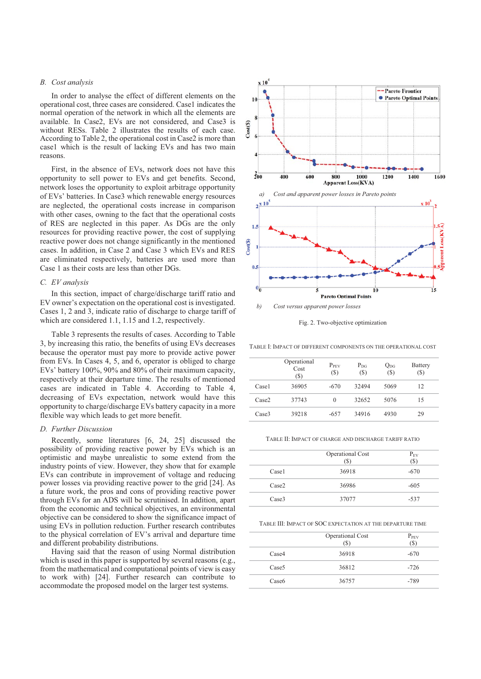# *B. Cost analysis*

In order to analyse the effect of different elements on the operational cost, three cases are considered. Case1 indicates the normal operation of the network in which all the elements are available. In Case2, EVs are not considered, and Case3 is without RESs. Table 2 illustrates the results of each case. According to Table 2, the operational cost in Case2 is more than case1 which is the result of lacking EVs and has two main reasons.

First, in the absence of EVs, network does not have this opportunity to sell power to EVs and get benefits. Second, network loses the opportunity to exploit arbitrage opportunity of EVs' batteries. In Case3 which renewable energy resources are neglected, the operational costs increase in comparison with other cases, owning to the fact that the operational costs of RES are neglected in this paper. As DGs are the only resources for providing reactive power, the cost of supplying reactive power does not change significantly in the mentioned cases. In addition, in Case 2 and Case 3 which EVs and RES are eliminated respectively, batteries are used more than Case 1 as their costs are less than other DGs.

# *C. EV analysis*

In this section, impact of charge/discharge tariff ratio and EV owner's expectation on the operational cost is investigated. Cases 1, 2 and 3, indicate ratio of discharge to charge tariff of which are considered 1.1, 1.15 and 1.2, respectively.

Table 3 represents the results of cases. According to Table 3, by increasing this ratio, the benefits of using EVs decreases because the operator must pay more to provide active power from EVs. In Cases 4, 5, and 6, operator is obliged to charge EVs' battery 100%, 90% and 80% of their maximum capacity, respectively at their departure time. The results of mentioned cases are indicated in Table 4. According to Table 4, decreasing of EVs expectation, network would have this opportunity to charge/discharge EVs battery capacity in a more flexible way which leads to get more benefit.

#### *D. Further Discussion*

Recently, some literatures [6, 24, 25] discussed the possibility of providing reactive power by EVs which is an optimistic and maybe unrealistic to some extend from the industry points of view. However, they show that for example EVs can contribute in improvement of voltage and reducing power losses via providing reactive power to the grid [24]. As a future work, the pros and cons of providing reactive power through EVs for an ADS will be scrutinised. In addition, apart from the economic and technical objectives, an environmental objective can be considered to show the significance impact of using EVs in pollution reduction. Further research contributes to the physical correlation of EV's arrival and departure time and different probability distributions.

Having said that the reason of using Normal distribution which is used in this paper is supported by several reasons (e.g., from the mathematical and computational points of view is easy to work with) [24]. Further research can contribute to accommodate the proposed model on the larger test systems.



Fig. 2. Two-objective optimization

TABLE I: IMPACT OF DIFFERENT COMPONENTS ON THE OPERATIONAL COST

| 36905 | $-670$ | 32494 | 5069 | 12 |
|-------|--------|-------|------|----|
| 37743 | 0      | 32652 | 5076 | 15 |
| 39218 | $-657$ | 34916 | 4930 | 29 |
|       |        |       |      |    |

TABLE II: IMPACT OF CHARGE AND DISCHARGE TARIFF RATIO

|                   | Operational Cost<br>(S) | $P_{EV}$<br>(S) |
|-------------------|-------------------------|-----------------|
| Case <sub>1</sub> | 36918                   | $-670$          |
| Case <sub>2</sub> | 36986                   | $-605$          |
| Case <sub>3</sub> | 37077                   | $-537$          |

TABLE III: IMPACT OF SOC EXPECTATION AT THE DEPARTURE TIME

|                   | Operational Cost<br>S | $P_{\rm PEV}$<br>(S) |
|-------------------|-----------------------|----------------------|
| Case4             | 36918                 | $-670$               |
| Case <sub>5</sub> | 36812                 | $-726$               |
| Case <sub>6</sub> | 36757                 | -789                 |